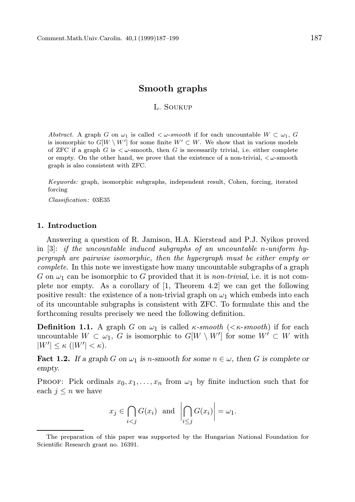# Smooth graphs

### L. Soukup

Abstract. A graph G on  $\omega_1$  is called  $\lt \omega$ -smooth if for each uncountable  $W \subset \omega_1$ , G is isomorphic to  $G[W \setminus W']$  for some finite  $W' \subset W$ . We show that in various models of ZFC if a graph G is  $\lt \omega$ -smooth, then G is necessarily trivial, i.e. either complete or empty. On the other hand, we prove that the existence of a non-trivial,  $\lt \omega$ -smooth graph is also consistent with ZFC.

Keywords: graph, isomorphic subgraphs, independent result, Cohen, forcing, iterated forcing

Classification: 03E35

### 1. Introduction

Answering a question of R. Jamison, H.A. Kierstead and P.J. Nyikos proved in [3]: if the uncountable induced subgraphs of an uncountable n-uniform hypergraph are pairwise isomorphic, then the hypergraph must be either empty or complete. In this note we investigate how many uncountable subgraphs of a graph G on  $\omega_1$  can be isomorphic to G provided that it is non-trivial, i.e. it is not complete nor empty. As a corollary of  $[1,$  Theorem 4.2 we can get the following positive result: the existence of a non-trivial graph on  $\omega_1$  which embeds into each of its uncountable subgraphs is consistent with ZFC. To formulate this and the forthcoming results precisely we need the following definition.

**Definition 1.1.** A graph G on  $\omega_1$  is called  $\kappa$ -smooth ( $\kappa$ -smooth) if for each uncountable  $W \subset \omega_1$ , G is isomorphic to  $G[W \setminus W']$  for some  $W' \subset W$  with  $|W'| \leq \kappa \ (|W'| < \kappa).$ 

**Fact 1.2.** If a graph G on  $\omega_1$  is n-smooth for some  $n \in \omega$ , then G is complete or empty.

**PROOF:** Pick ordinals  $x_0, x_1, \ldots, x_n$  from  $\omega_1$  by finite induction such that for each  $j \leq n$  we have

$$
x_j \in \bigcap_{i < j} G(x_i) \text{ and } \left| \bigcap_{i \leq j} G(x_i) \right| = \omega_1.
$$

The preparation of this paper was supported by the Hungarian National Foundation for Scientific Research grant no. 16391.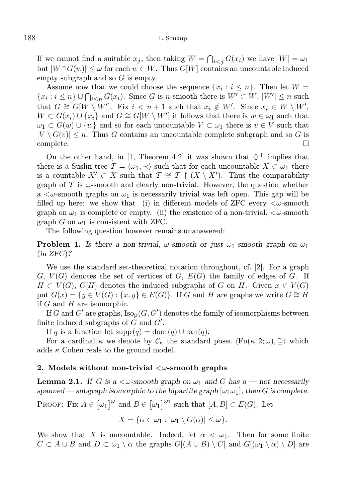### 188 L. Soukup

If we cannot find a suitable  $x_j$ , then taking  $W = \bigcap_{i < j} G(x_i)$  we have  $|W| = \omega_1$ but  $|W \cap G(w)| \leq \omega$  for each  $w \in W$ . Thus  $G[W]$  contains an uncountable induced empty subgraph and so  $G$  is empty.

Assume now that we could choose the sequence  $\{x_i : i \leq n\}$ . Then let  $W =$  $\{x_i : i \leq n\} \cup \bigcap_{i \leq n} G(x_i)$ . Since G is n-smooth there is  $W' \subset W$ ,  $|W'| \leq n$  such that  $G \cong G[W \setminus W']$ . Fix  $i < n+1$  such that  $x_i \notin W'$ . Since  $x_i \in W \setminus W'$ ,  $W \subset G(x_i) \cup \{x_i\}$  and  $G \cong G[W \setminus W']$  it follows that there is  $w \in \omega_1$  such that  $\omega_1 \subset G(w) \cup \{w\}$  and so for each uncountable  $V \subset \omega_1$  there is  $v \in V$  such that  $|V \setminus G(v)| \leq n$ . Thus G contains an uncountable complete subgraph and so G is  $\Box$ 

On the other hand, in [1, Theorem 4.2] it was shown that  $\diamondsuit^+$  implies that there is a Suslin tree  $\mathcal{T} = \langle \omega_1, \prec \rangle$  such that for each uncountable  $X \subset \omega_1$  there is a countable  $X' \subset X$  such that  $\mathcal{T} \cong \mathcal{T} \restriction (X \setminus X')$ . Thus the comparability graph of  $\mathcal T$  is  $\omega$ -smooth and clearly non-trivial. However, the question whether a  $\lt \omega$ -smooth graphs on  $\omega_1$  is necessarily trivial was left open. This gap will be filled up here: we show that (i) in different models of ZFC every  $\langle \omega\text{-smooth}$ graph on  $\omega_1$  is complete or empty, (ii) the existence of a non-trivial,  $\langle \omega$ -smooth graph G on  $\omega_1$  is consistent with ZFC.

The following question however remains unanswered:

**Problem 1.** Is there a non-trivial,  $\omega$ -smooth or just  $\omega_1$ -smooth graph on  $\omega_1$ (in ZFC)?

We use the standard set-theoretical notation throughout, cf. [2]. For a graph  $G, V(G)$  denotes the set of vertices of  $G, E(G)$  the family of edges of  $G$ . If  $H \subset V(G)$ ,  $G[H]$  denotes the induced subgraphs of G on H. Given  $x \in V(G)$ put  $G(x) = \{y \in V(G) : \{x, y\} \in E(G)\}.$  If G and H are graphs we write  $G \cong H$ if  $G$  and  $H$  are isomorphic.

If G and  $G'$  are graphs,  $\text{Iso}_{\text{p}}(G, G')$  denotes the family of isomorphisms between finite induced subgraphs of  $\tilde{G}$  and  $\tilde{G}'$ .

If q is a function let  $supp(q) = dom(q) \cup ran(q)$ .

For a cardinal  $\kappa$  we denote by  $\mathcal{C}_{\kappa}$  the standard poset  $\langle \text{Fn}(\kappa, 2; \omega), \supseteq \rangle$  which adds  $\kappa$  Cohen reals to the ground model.

#### 2. Models without non-trivial  $\langle \omega\text{-smooth graphs} \rangle$

**Lemma 2.1.** If G is a  $\lt \omega$ -smooth graph on  $\omega_1$  and G has a — not necessarily spanned — subgraph isomorphic to the bipartite graph  $[\omega; \omega_1]$ , then G is complete.

PROOF: Fix  $A \in [\omega_1]^{\omega}$  and  $B \in [\omega_1]^{\omega_1}$  such that  $[A, B] \subset E(G)$ . Let

$$
X = \{ \alpha \in \omega_1 : |\omega_1 \setminus G(\alpha)| \le \omega \}.
$$

We show that X is uncountable. Indeed, let  $\alpha < \omega_1$ . Then for some finite  $C \subset A \cup B$  and  $D \subset \omega_1 \setminus \alpha$  the graphs  $G[(A \cup B) \setminus C]$  and  $G[(\omega_1 \setminus \alpha) \setminus D]$  are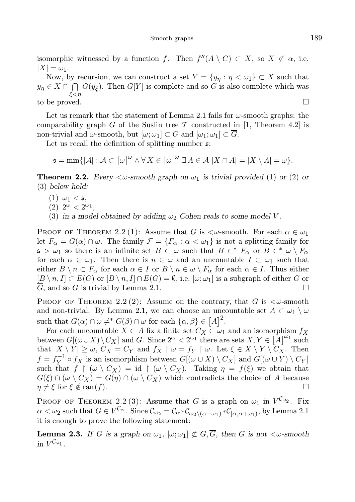isomorphic witnessed by a function f. Then  $f''(A \setminus C) \subset X$ , so  $X \not\subset \alpha$ , i.e.  $|X| = \omega_1.$ 

Now, by recursion, we can construct a set  $Y = \{y_n : n < \omega_1\} \subset X$  such that  $y_{\eta} \in X \cap \bigcap G(y_{\xi})$ . Then  $G[Y]$  is complete and so G is also complete which was ξ<η to be proved.

Let us remark that the statement of Lemma 2.1 fails for  $\omega$ -smooth graphs: the comparability graph G of the Suslin tree T constructed in [1, Theorem 4.2] is non-trivial and  $\omega$ -smooth, but  $[\omega; \omega_1] \subset G$  and  $[\omega_1; \omega_1] \subset \overline{G}$ .

Let us recall the definition of splitting number  $\mathfrak{s}$ :

$$
\mathfrak{s} = \min\{|\mathcal{A}| : \mathcal{A} \subset [\omega]^{\omega} \land \forall X \in [\omega]^{\omega} \exists A \in \mathcal{A} \ |X \cap A| = |X \setminus A| = \omega\}.
$$

**Theorem 2.2.** Every  $\langle \omega$ -smooth graph on  $\omega_1$  is trivial provided (1) or (2) or (3) below hold:

- $(1) \omega_1 <$  5,
- (2)  $2^{\omega} < 2^{\omega_1}$ ,
- (3) in a model obtained by adding  $\omega_2$  Cohen reals to some model V.

**PROOF OF THEOREM 2.2 (1):** Assume that G is  $\lt \omega$ -smooth. For each  $\alpha \in \omega_1$ let  $F_{\alpha} = G(\alpha) \cap \omega$ . The family  $\mathcal{F} = \{F_{\alpha} : \alpha < \omega_1\}$  is not a splitting family for  $\mathfrak{s} > \omega_1$  so there is an infinite set  $B \subset \omega$  such that  $B \subset^* F_\alpha$  or  $B \subset^* \omega \setminus F_\alpha$ for each  $\alpha \in \omega_1$ . Then there is  $n \in \omega$  and an uncountable  $I \subset \omega_1$  such that either  $B \setminus n \subset F_\alpha$  for each  $\alpha \in I$  or  $B \setminus n \in \omega \setminus F_\alpha$  for each  $\alpha \in I$ . Thus either  $[B \setminus n, I] \subset E(G)$  or  $[B \setminus n, I] \cap E(G) = \emptyset$ , i.e.  $[\omega; \omega_1]$  is a subgraph of either G or  $\overline{G}$ , and so G is trivial by Lemma 2.1.

PROOF OF THEOREM 2.2 (2): Assume on the contrary, that G is  $\lt \omega$ -smooth and non-trivial. By Lemma 2.1, we can choose an uncountable set  $A \subset \omega_1 \setminus \omega$ such that  $G(\alpha) \cap \omega \neq^* G(\beta) \cap \omega$  for each  $\{\alpha, \beta\} \in [A]^2$ .

For each uncountable  $X \subset A$  fix a finite set  $C_X \subset \omega_1$  and an isomorphism  $f_X$ between  $G[(\omega \cup X) \setminus C_X]$  and G. Since  $2^{\omega} < 2^{\omega_1}$  there are sets  $X, Y \in [A]^{\omega_1}$  such that  $|X \setminus Y| \geq \omega$ ,  $C_X = C_Y$  and  $f_X \upharpoonright \omega = f_Y \upharpoonright \omega$ . Let  $\xi \in X \setminus Y \setminus C_X$ . Then  $f = f_Y^{-1} \circ f_X$  is an isomorphism between  $G[(\omega \cup X) \setminus C_X]$  and  $G[(\omega \cup Y) \setminus C_Y]$ such that  $f \restriction (\omega \setminus C_X) = id \restriction (\omega \setminus C_X)$ . Taking  $\eta = f(\xi)$  we obtain that  $G(\xi) \cap (\omega \setminus C_X) = G(\eta) \cap (\omega \setminus C_X)$  which contradicts the choice of A because  $\eta \neq \xi$  for  $\xi \notin \text{ran}(f)$ .

PROOF OF THEOREM 2.2 (3): Assume that G is a graph on  $\omega_1$  in  $V^{C_{\omega_2}}$ . Fix  $\alpha < \omega_2 \text{ such that } G \in V^{\mathcal{C}_{\alpha}}. \text{ Since } \mathcal{C}_{\omega_2} = \mathcal{C}_{\alpha} * \mathcal{C}_{\omega_2 \setminus (\alpha + \omega_1)} * \mathcal{C}_{[\alpha, \alpha + \omega_1)} \text{, by Lemma 2.1}$ it is enough to prove the following statement:

**Lemma 2.3.** If G is a graph on  $\omega_1$ ,  $[\omega; \omega_1] \not\subset G$ , then G is not  $\langle \omega$ -smooth in  $V^{\mathcal{C}_{\omega_1}}$ .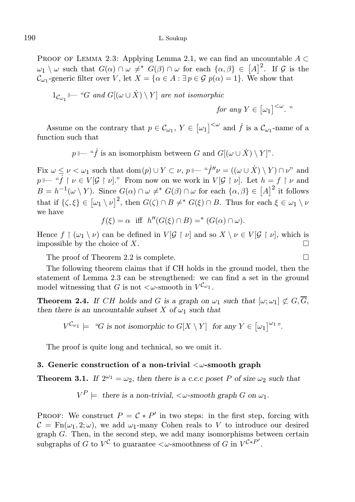PROOF OF LEMMA 2.3: Applying Lemma 2.1, we can find an uncountable  $A \subset$  $\omega_1 \setminus \omega$  such that  $G(\alpha) \cap \omega \neq^* G(\beta) \cap \omega$  for each  $\{\alpha, \beta\} \in [A]^2$ . If G is the  $\mathcal{C}_{\omega_1}$ -generic filter over V, let  $X = {\alpha \in A : \exists p \in \mathcal{G} \ p(\alpha) = 1}.$  We show that

$$
1_{\mathcal{C}_{\omega_1}} \longmapsto \text{``} G \text{ and } G[(\omega \cup \dot{X}) \setminus Y] \text{ are not isomorphic}
$$

for any 
$$
Y \in [\omega_1]^{<\omega}
$$
. "

Assume on the contrary that  $p \in C_{\omega_1}$ ,  $Y \in [\omega_1]^{<\omega}$  and  $\dot{f}$  is a  $C_{\omega_1}$ -name of a function such that

 $p \longmapsto$  " $\dot{f}$  is an isomorphism between G and  $G[(\omega \cup \dot{X}) \setminus Y]^n$ .

Fix  $\omega \leq \nu < \omega_1$  such that  $dom(p) \cup Y \subset \nu$ ,  $p \longmapsto "j''\nu = ((\omega \cup \dot{X}) \setminus Y) \cap \nu$ " and  $p \longmapsto$  " $f \upharpoonright \nu \in V[\mathcal{G} \upharpoonright \nu]$ ." From now on we work in  $V[\mathcal{G} \upharpoonright \nu]$ . Let  $h = f \upharpoonright \nu$  and  $B = h^{-1}(\omega \setminus Y)$ . Since  $G(\alpha) \cap \omega \neq^* G(\beta) \cap \omega$  for each  $\{\alpha, \beta\} \in [A]^2$  it follows that if  $\{\zeta, \xi\} \in [\omega_1 \setminus \nu]^2$ , then  $G(\zeta) \cap B \neq^* G(\xi) \cap B$ . Thus for each  $\xi \in \omega_1 \setminus \nu$ we have

$$
f(\xi) = \alpha \quad \text{iff} \quad h''(G(\xi) \cap B) =^* (G(\alpha) \cap \omega).
$$

Hence  $f \restriction (\omega_1 \setminus \nu)$  can be defined in  $V[\mathcal{G} \restriction \nu]$  and so  $X \setminus \nu \in V[\mathcal{G} \restriction \nu]$ , which is impossible by the choice of  $X$ .

The proof of Theorem 2.2 is complete.

The following theorem claims that if CH holds in the ground model, then the statement of Lemma 2.3 can be strengthened: we can find a set in the ground model witnessing that G is not  $\langle \omega$ -smooth in  $V^{\mathcal{C}_{\omega_1}}$ .

**Theorem 2.4.** If CH holds and G is a graph on  $\omega_1$  such that  $[\omega; \omega_1] \not\subset G$ ,  $\overline{G}$ , then there is an uncountable subset X of  $\omega_1$  such that

$$
V^{\mathcal{C}_{\omega_1}} \models \text{``G is not isomorphic to } G[X \setminus Y] \text{ for any } Y \in [\omega_1]^{\omega_1} \text{''}.
$$

The proof is quite long and technical, so we omit it.

#### 3. Generic construction of a non-trivial  $\langle \omega\text{-smooth graph} \rangle$

**Theorem 3.1.** If  $2^{\omega_1} = \omega_2$ , then there is a c.c.c poset P of size  $\omega_2$  such that

$$
V^P \models \text{ there is a non-trivial, } \langle \omega\text{-smooth graph } G \text{ on } \omega_1.
$$

PROOF: We construct  $P = C * P'$  in two steps: in the first step, forcing with  $\mathcal{C} = \text{Fn}(\omega_1, 2; \omega)$ , we add  $\omega_1$ -many Cohen reals to V to introduce our desired graph G. Then, in the second step, we add many isomorphisms between certain subgraphs of G to  $V^{\mathcal{C}}$  to guarantee  $\lt \omega$ -smoothness of G in  $V^{\mathcal{C}*P'}$ .

$$
\Box
$$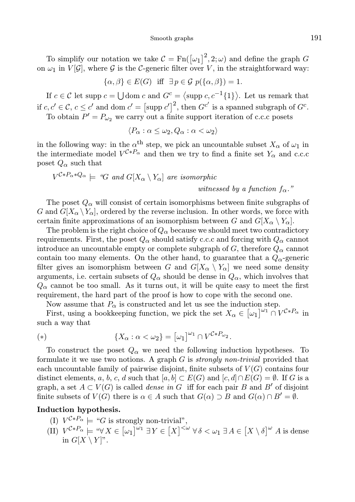To simplify our notation we take  $C = \text{Fn}([\omega_1]^2, 2; \omega)$  and define the graph G on  $\omega_1$  in  $V[\mathcal{G}]$ , where  $\mathcal G$  is the C-generic filter over V, in the straightforward way:

$$
\{\alpha,\beta\} \in E(G) \quad \text{iff} \quad \exists \, p \in \mathcal{G} \, p(\{\alpha,\beta\}) = 1.
$$

If  $c \in \mathcal{C}$  let supp  $c = \bigcup$  dom c and  $G^c = \langle \text{supp } c, c^{-1}\lbrace 1 \rbrace \rangle$ . Let us remark that if  $c, c' \in \mathcal{C}$ ,  $c \leq c'$  and dom  $c' = [\text{supp } c']^2$ , then  $G^{c'}$  is a spanned subgraph of  $G^c$ .

To obtain  $P' = P_{\omega_2}$  we carry out a finite support iteration of c.c.c posets

$$
\langle P_{\alpha} : \alpha \leq \omega_2, Q_{\alpha} : \alpha < \omega_2 \rangle
$$

in the following way: in the  $\alpha^{\text{th}}$  step, we pick an uncountable subset  $X_{\alpha}$  of  $\omega_1$  in the intermediate model  $V^{\mathcal{C} * P_{\alpha}}$  and then we try to find a finite set  $Y_{\alpha}$  and c.c.c poset  $Q_{\alpha}$  such that

$$
V^{\mathcal{C} * P_{\alpha} * Q_{\alpha}} \models \text{``}G \text{ and } G[X_{\alpha} \setminus Y_{\alpha}] \text{ are isomorphic}
$$

witnessed by a function  $f_{\alpha}$ ."

The poset  $Q_{\alpha}$  will consist of certain isomorphisms between finite subgraphs of G and  $G[X_\alpha \ Y_\alpha]$ , ordered by the reverse inclusion. In other words, we force with certain finite approximations of an isomorphism between G and  $G[X_\alpha \setminus Y_\alpha]$ .

The problem is the right choice of  $Q_{\alpha}$  because we should meet two contradictory requirements. First, the poset  $Q_{\alpha}$  should satisfy c.c.c and forcing with  $Q_{\alpha}$  cannot introduce an uncountable empty or complete subgraph of G, therefore  $Q_{\alpha}$  cannot contain too many elements. On the other hand, to guarantee that a  $Q_{\alpha}$ -generic filter gives an isomorphism between G and  $G[X_\alpha \setminus Y_\alpha]$  we need some density arguments, i.e. certain subsets of  $Q_{\alpha}$  should be dense in  $Q_{\alpha}$ , which involves that  $Q_{\alpha}$  cannot be too small. As it turns out, it will be quite easy to meet the first requirement, the hard part of the proof is how to cope with the second one.

Now assume that  $P_{\alpha}$  is constructed and let us see the induction step.

First, using a bookkeeping function, we pick the set  $X_{\alpha} \in [\omega_1]^{\omega_1} \cap V^{C*P_{\alpha}}$  in such a way that

(\*) 
$$
\{X_{\alpha} : \alpha < \omega_2\} = [\omega_1]^{\omega_1} \cap V^{\mathcal{C}*P_{\omega_2}}.
$$

To construct the poset  $Q_{\alpha}$  we need the following induction hypotheses. To formulate it we use two notions. A graph  $G$  is *strongly non-trivial* provided that each uncountable family of pairwise disjoint, finite subsets of  $V(G)$  contains four distinct elements, a, b, c, d such that  $[a, b] \subset E(G)$  and  $[c, d] \cap E(G) = \emptyset$ . If G is a graph, a set  $A \subset V(G)$  is called *dense in* G iff for each pair B and B' of disjoint finite subsets of  $V(G)$  there is  $\alpha \in A$  such that  $G(\alpha) \supset B$  and  $G(\alpha) \cap B' = \emptyset$ .

## Induction hypothesis.

- (I)  $V^{\mathcal{C} * P_{\alpha}} \models "G \text{ is strongly non-trivial",}$
- (II)  $V^{\mathcal{C}*P_{\alpha}} \models \text{``}\forall X \in [\omega_1]^{\omega_1} \exists Y \in [X]^{<\omega} \forall \delta < \omega_1 \exists A \in [X \setminus \delta]^{\omega} A$  is dense in  $G[X \setminus Y]$ ".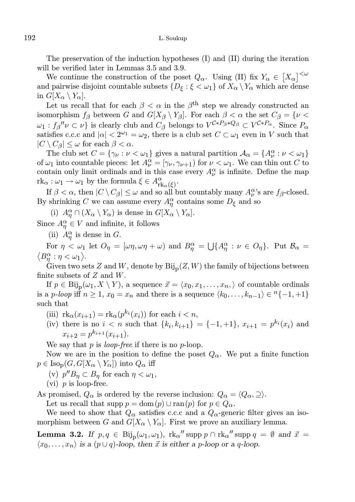The preservation of the induction hypotheses (I) and (II) during the iteration will be verified later in Lemmas 3.5 and 3.9.

We continue the construction of the poset  $Q_{\alpha}$ . Using (II) fix  $Y_{\alpha} \in [X_{\alpha}]^{\langle \omega \rangle}$ and pairwise disjoint countable subsets  $\{D_{\xi} : \xi < \omega_1\}$  of  $X_{\alpha} \setminus Y_{\alpha}$  which are dense in  $G[X_\alpha \setminus Y_\alpha]$ .

Let us recall that for each  $\beta < \alpha$  in the  $\beta^{\text{th}}$  step we already constructed an isomorphism  $f_\beta$  between G and  $G[X_\beta \setminus Y_\beta]$ . For each  $\beta < \alpha$  the set  $C_\beta = \{v <$  $\omega_1 : f_\beta'' \nu \subset \nu$  is clearly club and  $C_\beta$  belongs to  $V^{\mathcal{C} * P_\beta * Q_\beta} \subset V^{\mathcal{C} * P_\alpha}$ . Since  $P_\alpha$ satisfies c.c.c and  $|\alpha| < 2^{\omega_1} = \omega_2$ , there is a club set  $C \subset \omega_1$  even in V such that  $|C \setminus C_\beta| \leq \omega$  for each  $\beta < \alpha$ .

The club set  $C = \{ \gamma_{\nu} : \nu < \omega_1 \}$  gives a natural partition  $\mathcal{A}_{\alpha} = \{ A_{\nu}^{\alpha} : \nu < \omega_1 \}$ of  $\omega_1$  into countable pieces: let  $A_{\nu}^{\alpha} = [\gamma_{\nu}, \gamma_{\nu+1})$  for  $\nu < \omega_1$ . We can thin out C to contain only limit ordinals and in this case every  $A^{\alpha}_{\nu}$  is infinite. Define the map  $\mathrm{rk}_\alpha: \omega_1 \to \omega_1$  by the formula  $\xi \in A_{\mathrm{rk}_\alpha(\xi)}^\alpha$ .

If  $\beta < \alpha$ , then  $|C \setminus C_{\beta}| \leq \omega$  and so all but countably many  $A_{\nu}^{\alpha}$ 's are  $f_{\beta}$ -closed. By shrinking C we can assume every  $A_{\eta}^{\alpha}$  contains some  $D_{\xi}$  and so

(i)  $A_{\eta}^{\alpha} \cap (X_{\alpha} \setminus Y_{\alpha})$  is dense in  $G[X_{\alpha} \setminus Y_{\alpha}]$ .

Since  $A_{\eta}^{\alpha} \in V$  and infinite, it follows

(ii)  $A_{\eta}^{\alpha}$  is dense in G.

For  $\eta < \omega_1$  let  $O_\eta = [\omega \eta, \omega \eta + \omega]$  and  $B_\eta^\alpha = \bigcup \{ A_\eta^\alpha : \nu \in O_\eta \}$ . Put  $B_\alpha =$  $\langle B^\alpha_\eta : \eta < \omega_1 \rangle.$ 

Given two sets Z and W, denote by  $\text{Bij}_{p}(Z, W)$  the family of bijections between finite subsets of  $Z$  and  $W$ .

If  $p \in \text{Bij}_{\text{p}}(\omega_1, X \setminus Y)$ , a sequence  $\vec{x} = \langle x_0, x_1, \ldots, x_n, \rangle$  of countable ordinals is a p-loop iff  $n \geq 1$ ,  $x_0 = x_n$  and there is a sequence  $\langle k_0, \ldots, k_{n-1} \rangle \in {\binom{n}{-1}, +1}$ such that

(iii)  $\operatorname{rk}_{\alpha}(x_{i+1}) = \operatorname{rk}_{\alpha}(p^{k_i}(x_i))$  for each  $i < n$ ,

(iv) there is no  $i < n$  such that  $\{k_i, k_{i+1}\} = \{-1, +1\}, x_{i+1} = p^{k_i}(x_i)$  and  $x_{i+2} = p^{k_{i+1}}(x_{i+1}).$ 

We say that  $p$  is *loop-free* if there is no  $p$ -loop.

Now we are in the position to define the poset  $Q_{\alpha}$ . We put a finite function  $p \in \text{Iso}_{\text{p}}(G, G[X_\alpha \setminus Y_\alpha])$  into  $Q_\alpha$  iff

- (v)  $p''B_{\eta} \subset B_{\eta}$  for each  $\eta < \omega_1$ ,
- (vi)  $p$  is loop-free.

As promised,  $Q_{\alpha}$  is ordered by the reverse inclusion:  $Q_{\alpha} = \langle Q_{\alpha}, \supseteq \rangle$ .

Let us recall that supp  $p = \text{dom}(p) \cup \text{ran}(p)$  for  $p \in Q_{\alpha}$ .

We need to show that  $Q_{\alpha}$  satisfies c.c.c and a  $Q_{\alpha}$ -generic filter gives an isomorphism between G and  $G[X_\alpha \ Y_\alpha]$ . First we prove an auxiliary lemma.

**Lemma 3.2.** If  $p, q \in \text{Bij}_p(\omega_1, \omega_1)$ ,  $\text{rk}_{\alpha}''$  supp  $p \cap \text{rk}_{\alpha}''$  supp  $q = \emptyset$  and  $\vec{x} =$  $\langle x_0, \ldots, x_n \rangle$  is a  $(p \cup q)$ -loop, then  $\vec{x}$  is either a p-loop or a q-loop.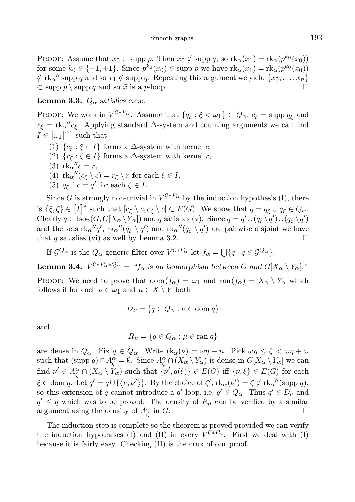PROOF: Assume that  $x_0 \in \text{supp } p$ . Then  $x_0 \notin \text{supp } q$ , so  $\text{rk}_\alpha(x_1) = \text{rk}_\alpha(p^{k_0}(x_0))$ for some  $k_0 \in \{-1, +1\}$ . Since  $p^{k_0}(x_0) \in \text{supp } p$  we have  $\text{rk}_\alpha(x_1) = \text{rk}_\alpha(p^{k_0}(x_0))$  $\notin$  rk<sub>a</sub>" supp q and so  $x_1 \notin$  supp q. Repeating this argument we yield  $\{x_0, \ldots, x_n\}$  $\subset$  supp p \ supp q and so  $\vec{x}$  is a p-loop.

**Lemma 3.3.**  $Q_{\alpha}$  satisfies c.c.c.

PROOF: We work in  $V^{C*P_\alpha}$ . Assume that  $\{q_\xi:\xi<\omega_1\}\subset Q_\alpha$ ,  $c_\xi=\text{supp }q_\xi$  and  $r_{\xi} = \text{rk}_{\alpha}'' c_{\xi}$ . Applying standard  $\Delta$ -system and counting arguments we can find  $I \in [\omega_1]^{\omega_1}$  such that

- (1)  $\{c_{\xi} : \xi \in I\}$  forms a  $\Delta$ -system with kernel c,
- (2)  $\{r_{\xi}:\xi\in I\}$  forms a  $\Delta$ -system with kernel r,
- (3)  $rk_{\alpha}^{\ \ \ \prime\prime}c=r,$
- (4)  $\operatorname{rk}_{\alpha}''(c_{\xi} \setminus c) = r_{\xi} \setminus r$  for each  $\xi \in I$ ,
- (5)  $q_{\xi} \restriction c = q'$  for each  $\xi \in I$ .

Since G is strongly non-trivial in  $V^{\mathcal{C} * P_{\alpha}}$  by the induction hypothesis (I), there is  $\{\xi, \zeta\} \in [I]^2$  such that  $[c_{\xi} \setminus c, c_{\zeta} \setminus c] \subset E(G)$ . We show that  $q = q_{\xi} \cup q_{\zeta} \in Q_{\alpha}$ . Clearly  $q \in \text{Iso}_{\text{p}}(G, G[X_\alpha \setminus Y_\alpha])$  and q satisfies (v). Since  $q = q' \cup (q_\xi \setminus q') \cup (q_\zeta \setminus q')$ and the sets  $\text{rk}_{\alpha}''q'$ ,  $\text{rk}_{\alpha}''(q_{\xi} \setminus q')$  and  $\text{rk}_{\alpha}''(q_{\zeta} \setminus q')$  are pairwise disjoint we have that q satisfies (vi) as well by Lemma 3.2.

If  $\mathcal{G}^{Q_{\alpha}}$  is the  $Q_{\alpha}$ -generic filter over  $V^{\mathcal{C}*P_{\alpha}}$  let  $f_{\alpha} = \bigcup \{q : q \in \mathcal{G}^{Q_{\alpha}}\}.$ 

**Lemma 3.4.**  $V^{C*P_{\alpha}*Q_{\alpha}} \models \text{``}f_{\alpha} \text{ is an isomorphism between } G \text{ and } G[X_{\alpha} \setminus Y_{\alpha}].$ "

PROOF: We need to prove that dom $(f_{\alpha}) = \omega_1$  and ran $(f_{\alpha}) = X_{\alpha} \setminus Y_{\alpha}$  which follows if for each  $\nu \in \omega_1$  and  $\mu \in X \setminus Y$  both

$$
D_{\nu} = \{q \in Q_{\alpha} : \nu \in \text{dom } q\}
$$

and

$$
R_{\mu} = \{q \in Q_{\alpha} : \mu \in \text{ran } q\}
$$

are dense in  $Q_{\alpha}$ . Fix  $q \in Q_{\alpha}$ . Write  $\text{rk}_{\alpha}(\nu) = \omega \eta + n$ . Pick  $\omega \eta \leq \zeta < \omega \eta + \omega$ such that  $(\text{supp } q) \cap A^{\alpha}_{\zeta} = \emptyset$ . Since  $A^{\alpha}_{\zeta} \cap (\overline{X}_{\alpha} \setminus Y_{\alpha})$  is dense in  $G[X_{\alpha} \setminus Y_{\alpha}]$  we can find  $\nu' \in A_{\zeta}^{\alpha} \cap (X_{\alpha} \setminus Y_{\alpha})$  such that  $\{\nu', q(\xi)\} \in E(G)$  iff  $\{\nu, \xi\} \in E(G)$  for each  $\xi \in \text{dom } q.$  Let  $q' = q \cup \{ \langle \nu, \nu' \rangle \}.$  By the choice of  $\zeta', \text{rk}_{\alpha}(\nu') = \zeta \notin \text{rk}_{\alpha}''(\text{supp } q),$ so this extension of q cannot introduce a  $q'$ -loop, i.e.  $q' \in Q_\alpha$ . Thus  $q' \in D_\nu$  and  $q' \leq q$  which was to be proved. The density of  $R_{\mu}$  can be verified by a similar argument using the density of  $A^{\alpha}_{\zeta}$  in G.

The induction step is complete so the theorem is proved provided we can verify the induction hypotheses (I) and (II) in every  $V^{\mathcal{C} * P_{\gamma}}$ . First we deal with (I) because it is fairly easy. Checking (II) is the crux of our proof.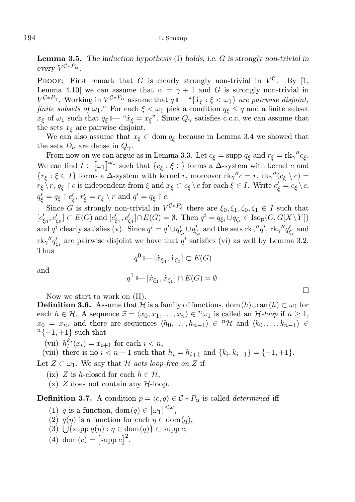**Lemma 3.5.** The induction hypothesis  $(I)$  holds, i.e. G is strongly non-trivial in every  $V^{\mathcal{C}*P_{\alpha}}$ .

PROOF: First remark that G is clearly strongly non-trivial in  $V^{\mathcal{C}}$ . By [1, Lemma 4.10] we can assume that  $\alpha = \gamma + 1$  and G is strongly non-trivial in  $V^{C*P_{\gamma}}$ . Working in  $V^{C*P_{\alpha}}$  assume that  $q \longmapsto {\text{``}} \{x_{\xi} : \xi < \omega_1\}$  are pairwise disjoint, finite subsets of  $\omega_1$ ." For each  $\xi < \omega_1$  pick a condition  $q_{\xi} \leq q$  and a finite subset  $x_{\xi}$  of  $\omega_1$  such that  $q_{\xi} \Vdash$  " $\dot{x}_{\xi} = x_{\xi}$ ". Since  $Q_{\gamma}$  satisfies c.c.c, we can assume that the sets  $x<sub>f</sub>$  are pairwise disjoint.

We can also assume that  $x_{\xi} \subset \text{dom } q_{\xi}$  because in Lemma 3.4 we showed that the sets  $D_{\nu}$  are dense in  $Q_{\gamma}$ .

From now on we can argue as in Lemma 3.3. Let  $c_{\xi} = \text{supp } q_{\xi}$  and  $r_{\xi} = \text{rk}_{\gamma}'' c_{\xi}$ . We can find  $I \in [\omega_1]^{\omega_1}$  such that  $\{c_{\xi} : \xi \in \}$  forms a  $\Delta$ -system with kernel c and  ${r_\xi : \xi \in I}$  forms a  $\Delta$ -system with kernel r, moreover  $\operatorname{rk}_{\gamma}^{\prime\prime}c = r$ ,  $\operatorname{rk}_{\gamma}^{\prime\prime\prime}(c_\xi \setminus c) =$  $r_{\xi} \setminus r, q_{\xi} \restriction c$  is independent from  $\xi$  and  $x_{\xi} \subset c_{\xi} \setminus c$  for each  $\xi \in I$ . Write  $c'_{\xi} = c_{\xi} \setminus c$ ,  $q'_\xi = q_\xi \restriction c'_\xi, r'_\xi = r_\xi \setminus r \text{ and } q' = q_\xi \restriction c.$ 

Since G is strongly non-trivial in  $V^{C*P_{\xi}}$  there are  $\xi_0, \xi_1, \zeta_0, \zeta_1 \in I$  such that  $[c'_{\xi_0},c'_{\zeta_0}]\subset E(G)\text{ and } [c'_{\xi_1},c'_{\zeta_1}]\cap E(G)=\emptyset. \text{ Then } q^i=q_{\xi_i}\cup q_{\zeta_i}\in \text{Iso}_\text{p}(G,G[X\setminus Y])$ and  $q^i$  clearly satisfies (v). Since  $q^i = q' \cup q'_{\xi_i} \cup q'_{\zeta_i}$  and the sets  $\text{rk}_\gamma''q', \text{rk}_{\gamma}''q'_{\xi_i}$  and  $\text{rk}_{\gamma}''q'_{\zeta_i}$  are pairwise disjoint we have that  $q^i$  satisfies (vi) as well by Lemma 3.2. Thus

$$
q^{0} \longmapsto [\dot{x}_{\xi_{0}}, \dot{x}_{\zeta_{0}}] \subset E(G)
$$
  

$$
{}^{1} \longmapsto [\dot{x}_{\zeta} \dot{x}_{\zeta}] \cap E(G) =
$$

and

$$
q^1 \longmapsto [\dot{x}_{\xi_1}, \dot{x}_{\zeta_1}] \cap E(G) = \emptyset.
$$

 $\Box$ 

Now we start to work on (II).

**Definition 3.6.** Assume that  $H$  is a family of functions, dom(h)∪ran (h) ⊂  $\omega_1$  for each  $h \in \mathcal{H}$ . A sequence  $\vec{x} = \langle x_0, x_1, \ldots, x_n \rangle \in \infty$  is called an  $\mathcal{H}$ -loop if  $n \geq 1$ ,  $x_0 = x_n$ , and there are sequences  $\langle h_0, \ldots, h_{n-1} \rangle \in {}^{n} \mathcal{H}$  and  $\langle k_0, \ldots, k_{n-1} \rangle \in$  $n\{-1, +1\}$  such that

(vii)  $h_i^{k_i}(x_i) = x_{i+1}$  for each  $i < n$ ,

(viii) there is no  $i < n - 1$  such that  $h_i = h_{i+1}$  and  $\{k_i, k_{i+1}\} = \{-1, +1\}.$ 

Let  $Z \subset \omega_1$ . We say that H acts loop-free on Z if

- (ix) Z is h-closed for each  $h \in \mathcal{H}$ ,
- $(x)$  Z does not contain any  $H$ -loop.

**Definition 3.7.** A condition  $p = \langle c, q \rangle \in C * P_{\alpha}$  is called *determined* iff

- (1) q is a function, dom $(q) \in [\omega_1]^{<\omega}$ ,
- (2)  $q(\eta)$  is a function for each  $\eta \in \text{dom}(q)$ ,
- (3)  $\bigcup \{\text{supp } q(\eta) : \eta \in \text{dom}(q)\} \subset \text{supp } c,$
- (4) dom(c) =  $[\text{supp } c]^2$ .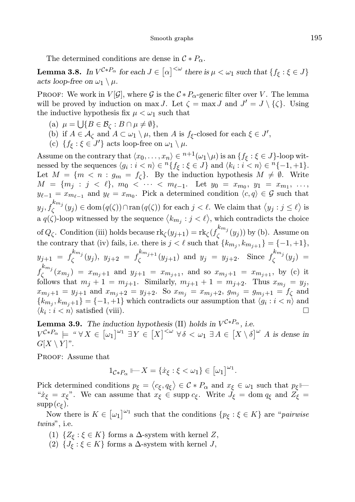The determined conditions are dense in  $\mathcal{C} * P_{\alpha}$ .

**Lemma 3.8.** In  $V^{\mathcal{C}*P_{\alpha}}$  for each  $J \in [\alpha]^{<\omega}$  there is  $\mu < \omega_1$  such that  $\{f_{\xi} : \xi \in J\}$ acts loop-free on  $\omega_1 \setminus \mu$ .

PROOF: We work in  $V[\mathcal{G}]$ , where  $\mathcal{G}$  is the  $C * P_{\alpha}$ -generic filter over V. The lemma will be proved by induction on max J. Let  $\zeta = \max J$  and  $J' = J \setminus {\zeta}$ . Using the inductive hypothesis fix  $\mu < \omega_1$  such that

- (a)  $\mu = \bigcup \{ B \in \mathcal{B}_{\zeta} : B \cap \mu \neq \emptyset \},\$
- (b) if  $A \in \mathcal{A}_{\zeta}$  and  $A \subset \omega_1 \setminus \mu$ , then A is  $f_{\xi}$ -closed for each  $\xi \in J'$ ,
- (c)  $\{f_{\xi} : \xi \in J'\}$  acts loop-free on  $\omega_1 \setminus \mu$ .

Assume on the contrary that  $\langle x_0, \ldots, x_n \rangle \in {}^{n+1}(\omega_1 \setminus \mu)$  is an  $\{f_{\xi} : \xi \in J\}$ -loop witnessed by the sequences  $\langle g_i : i \langle n \rangle \in {}^n \{ f_{\xi} : \xi \in J \}$  and  $\langle k_i : i \langle n \rangle \in {}^n \{-1, +1 \}$ . Let  $M = \{m \leq n : g_m = f_\zeta\}$ . By the induction hypothesis  $M \neq \emptyset$ . Write  $M = \{m_j : j < \ell\}, m_0 < \cdots < m_{\ell-1}.$  Let  $y_0 = x_{m_0}, y_1 = x_{m_1}, \ldots,$  $y_{\ell-1} = x_{m_{\ell-1}}$  and  $y_{\ell} = x_{m_0}$ . Pick a determined condition  $\langle c, q \rangle \in \mathcal{G}$  such that  $y_j, f_{\zeta}^{k m_j}$  $\mathcal{L}_{\zeta}^{(m,n)}(y_j) \in \text{dom}(q(\zeta)) \cap \text{ran}(q(\zeta))$  for each  $j < \ell$ . We claim that  $\langle y_j : j \leq \ell \rangle$  is a  $q(\zeta)$ -loop witnessed by the sequence  $\langle k_{m_j} : j < \ell \rangle$ , which contradicts the choice of  $Q_{\zeta}$ . Condition (iii) holds because  $\mathrm{rk}_{\zeta}(y_{j+1}) = \mathrm{rk}_{\zeta}(f_{\zeta}^{k_{m_j}})$  $\zeta^{(w_j)}(y_j)$  by (b). Assume on the contrary that (iv) fails, i.e. there is  $j < \ell$  such that  $\{k_{m_j}, k_{m_{j+1}}\} = \{-1, +1\},\$  $y_{j+1} = f_{\zeta}^{k_{m_j}}$  $\int_{\zeta}^{k_{m_j}} (y_j), \ y_{j+2} = f_{\zeta}^{k_{m_{j+1}}}$  $\zeta^{k m_{j+1}}(y_{j+1})$  and  $y_j = y_{j+2}$ . Since  $f_{\zeta}^{k m_j}$  $\zeta^{m_j}(y_j) =$  $f_{\zeta}^{k_{m_j}}$  $(x_{m_j}) = x_{m_j+1}$  and  $y_{j+1} = x_{m_{j+1}}$ , and so  $x_{m_j+1} = x_{m_{j+1}}$ , by (c) it follows that  $m_j + 1 = m_{j+1}$ . Similarly,  $m_{j+1} + 1 = m_{j+2}$ . Thus  $x_{m_j} = y_j$ ,  $x_{m_j+1} = y_{j+1}$  and  $x_{m_j+2} = y_{j+2}$ . So  $x_{m_j} = x_{m_j+2}$ ,  $g_{m_j} = g_{m_j+1} = f_{\zeta}$  and  $\{k_{m_j}, k_{m_j+1}\} = \{-1, +1\}$  which contradicts our assumption that  $\langle g_i : i < n \rangle$  and  $\langle k_i : i < n \rangle$  satisfied (viii).

**Lemma 3.9.** The induction hypothesis (II) holds in  $V^{C*P_{\alpha}}$ , i.e.  $V^{\mathcal{C}*P_{\alpha}} \models \text{``}\forall X \in [\omega_1]^{\omega_1} \exists Y \in [X]^{<\omega} \forall \delta < \omega_1 \exists A \in [X \setminus \delta]^{\omega}$  A is dense in  $G[X \setminus Y]$ ".

PROOF: Assume that

$$
1_{\mathcal{C} * P_{\alpha}} \longmapsto X = \{ \dot{x}_{\xi} : \xi < \omega_1 \} \in [\omega_1]^{\omega_1}.
$$

Pick determined conditions  $p_{\xi} = \langle c_{\xi}, q_{\xi} \rangle \in C * P_{\alpha}$  and  $x_{\xi} \in \omega_1$  such that  $p_{\xi} \models$ " $\dot{x}_{\xi} = x_{\xi}$ ". We can assume that  $x_{\xi} \in \text{supp } c_{\xi}$ . Write  $J_{\xi} = \text{dom } q_{\xi}$  and  $Z_{\xi} =$  $\text{supp}(c_{\xi}).$ 

Now there is  $K \in [\omega_1]^{\omega_1}$  such that the conditions  $\{p_{\xi} : \xi \in K\}$  are "*pairwise* twins", i.e.

- (1)  $\{Z_{\xi} : \xi \in K\}$  forms a  $\Delta$ -system with kernel  $Z$ ,
- (2)  $\{J_{\xi} : \xi \in K\}$  forms a  $\Delta$ -system with kernel  $J$ ,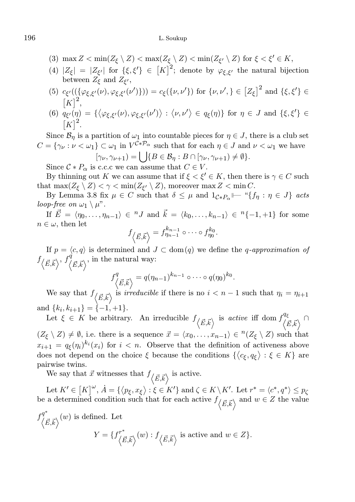### 196 L. Soukup

- (3)  $\max Z < \min(Z_{\xi} \setminus Z) < \max(Z_{\xi} \setminus Z) < \min(Z_{\xi'} \setminus Z)$  for  $\xi < \xi' \in K$ ,
- (4)  $|Z_{\xi}| = |Z_{\xi'}|$  for  $\{\xi, \xi'\}\in [K]^2$ ; denote by  $\varphi_{\xi, \xi'}$  the natural bijection between  $Z_{\xi}$  and  $Z_{\xi'}$ ,
- (5)  $c_{\xi'}((\{\varphi_{\xi,\xi'}(\nu),\varphi_{\xi,\xi'}(\nu')\})) = c_{\xi}(\{\nu,\nu'\})$  for  $\{\nu,\nu',\}\in [Z_{\xi}]^2$  and  $\{\xi,\xi'\}\in$  $[K]^2$ ,
- (6)  $q_{\xi'}(\eta) = {\{\langle \varphi_{\xi,\xi'}(\nu), \varphi_{\xi,\xi'}(\nu') \rangle : \langle \nu, \nu' \rangle \in q_{\xi}(\eta)\}}$  for  $\eta \in J$  and  $\{\xi, \xi'\}\in$  $[K]^2$ .

Since  $\mathcal{B}_{\eta}$  is a partition of  $\omega_1$  into countable pieces for  $\eta \in J$ , there is a club set  $C = {\gamma_{\nu} : \nu < \omega_1} \subset \omega_1$  in  $V^{C * P_{\alpha}}$  such that for each  $\eta \in J$  and  $\nu < \omega_1$  we have  $[\gamma_{\nu}, \gamma_{\nu+1}) = \bigcup \{ B \in \mathcal{B}_{\eta} : B \cap [\gamma_{\nu}, \gamma_{\nu+1}) \neq \emptyset \}.$ 

Since  $C * P_{\alpha}$  is c.c.c we can assume that  $C \in V$ .

By thinning out K we can assume that if  $\xi < \xi' \in K$ , then there is  $\gamma \in C$  such that  $\max(Z_{\xi} \setminus Z) < \gamma < \min(Z_{\xi'} \setminus Z)$ , moreover  $\max Z < \min C$ .

By Lemma 3.8 fix  $\mu \in C$  such that  $\delta \leq \mu$  and  $1_{\mathcal{C} * P_{\alpha}} \longmapsto {\text{``}} \{ f_{\eta} : \eta \in J \}$  acts loop-free on  $\omega_1 \setminus \mu$ ".

If  $\vec{E} = \langle \eta_0, \ldots, \eta_{n-1} \rangle \in {}^nJ$  and  $\vec{k} = \langle k_0, \ldots, k_{n-1} \rangle \in {}^n\{-1, +1\}$  for some  $n \in \omega$ , then let

$$
f_{\langle \vec{E}, \vec{k} \rangle} = f_{\eta_{n-1}}^{k_{n-1}} \circ \cdots \circ f_{\eta_0}^{k_0}.
$$

If  $p = \langle c, q \rangle$  is determined and  $J \subset \text{dom}(q)$  we define the q-approximation of  $f_{\langle \vec{E}, \vec{k} \rangle}$ ,  $f^{\dot{q}}_{\langle \vec{E}, \vec{k} \rangle}$ , in the natural way:

$$
f^q_{\langle \vec{E}, \vec{k} \rangle} = q(\eta_{n-1})^{k_{n-1}} \circ \cdots \circ q(\eta_0)^{k_0}.
$$

We say that  $f_{\langle \vec{E}, \vec{k} \rangle}$  is *irreducible* if there is no  $i < n - 1$  such that  $\eta_i = \eta_{i+1}$ and  $\{k_i, k_{i+1}\} = \{-1, +1\}.$ 

Let  $\xi \in K$  be arbitrary. An irreducible  $f_{\langle \vec{E}, \vec{k} \rangle}$  is active iff dom  $f_{\langle \vec{E}, \vec{k} \rangle}^{q_{\xi}} \cap$  $(Z_{\xi} \setminus Z) \neq \emptyset$ , i.e. there is a sequence  $\vec{x} = \langle x_0, \ldots, x_{n-1} \rangle \in {}^{n}(Z_{\xi} \setminus Z)$  such that  $x_{i+1} = q_{\xi}(\eta_i)^{k_i}(x_i)$  for  $i < n$ . Observe that the definition of activeness above does not depend on the choice  $\xi$  because the conditions  $\{\langle c_{\xi}, q_{\xi} \rangle : \xi \in K\}$  are pairwise twins.

We say that  $\vec{x}$  witnesses that  $f_{\langle \vec{E}, \vec{k} \rangle}$  is active.

Let  $K' \in [K]^{\omega}$ ,  $\dot{A} = \{ \langle p_{\xi}, x_{\xi} \rangle : \xi \in K' \}$  and  $\zeta \in K \setminus K'$ . Let  $r^* = \langle c^*, q^* \rangle \leq p_{\zeta}$ be a determined condition such that for each active  $f_{\langle \vec{E}, \vec{k} \rangle}$  and  $w \in Z$  the value ∗

$$
f_{\langle \vec{E}, \vec{k} \rangle}^{q^*}(w) \text{ is defined. Let}
$$
  

$$
Y = \{ f_{\langle \vec{E}, \vec{k} \rangle}^{r^*}(w) : f_{\langle \vec{E}, \vec{k} \rangle} \text{ is active and } w \in Z \}.
$$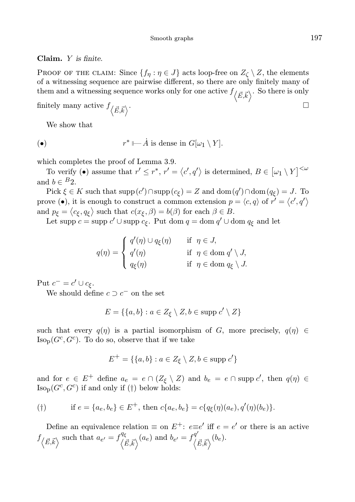### Claim. Y is finite.

PROOF OF THE CLAIM: Since  $\{f_n : \eta \in J\}$  acts loop-free on  $Z_{\zeta} \setminus Z$ , the elements of a witnessing sequence are pairwise different, so there are only finitely many of them and a witnessing sequence works only for one active  $f_{\langle \vec{E}, \vec{k} \rangle}$ . So there is only

finitely many active  $f_{\langle \vec{E}, \vec{k} \rangle}$ .

We show that

$$
\bullet) \qquad \qquad r^* \longmapsto \dot{A} \text{ is dense in } G[\omega_1 \setminus Y].
$$

which completes the proof of Lemma 3.9.

To verify (•) assume that  $r' \leq r^*$ ,  $r' = \langle c', q' \rangle$  is determined,  $B \in [\omega_1 \setminus Y]^{<\omega}$ and  $b \in {}^{B}2$ .

Pick  $\xi \in K$  such that  $\text{supp}(c') \cap \text{supp}(c_{\xi}) = Z$  and  $\text{dom}(q') \cap \text{dom}(q_{\xi}) = J$ . To prove (•), it is enough to construct a common extension  $p = \langle c, q \rangle$  of  $r' = \langle c', q' \rangle$ and  $p_{\xi} = \langle c_{\xi}, q_{\xi} \rangle$  such that  $c(x_{\xi}, \beta) = b(\beta)$  for each  $\beta \in B$ .

Let supp  $c =$  supp  $c' \cup$  supp  $c_{\xi}$ . Put dom  $q =$  dom  $q' \cup$  dom  $q_{\xi}$  and let

$$
q(\eta) = \begin{cases} q'(\eta) \cup q_{\xi}(\eta) & \text{if } \eta \in J, \\ q'(\eta) & \text{if } \eta \in \text{dom } q' \setminus J, \\ q_{\xi}(\eta) & \text{if } \eta \in \text{dom } q_{\xi} \setminus J. \end{cases}
$$

Put  $c^- = c' \cup c_{\xi}$ .

We should define  $c \supset c^-$  on the set

$$
E = \{ \{a, b\} : a \in Z_{\xi} \setminus Z, b \in \text{supp } c' \setminus Z \}
$$

such that every  $q(\eta)$  is a partial isomorphism of G, more precisely,  $q(\eta) \in$  $\text{Iso}_{\text{p}}(G^c, G^c)$ . To do so, observe that if we take

$$
E^+ = \{ \{a, b\} : a \in Z_{\xi} \setminus Z, b \in \text{supp } c' \}
$$

and for  $e \in E^+$  define  $a_e = e \cap (Z_\xi \setminus Z)$  and  $b_e = e \cap \text{supp } c'$ , then  $q(\eta) \in$  $\text{Iso}_{\text{p}}(G^c, G^c)$  if and only if (†) below holds:

$$
(\dagger) \quad \text{if } e = \{a_e, b_e\} \in E^+, \text{ then } c\{a_e, b_e\} = c\{q_\xi(\eta)(a_e), q'(\eta)(b_e)\}.
$$

Define an equivalence relation  $\equiv$  on  $E^+$ :  $e \equiv e'$  iff  $e = e'$  or there is an active  $f_{\langle \vec{E}, \vec{k} \rangle}$  such that  $a_{e'} = f_{\langle \vec{E}, \vec{k} \rangle}^{q_{\xi}}(a_e)$  and  $b_{e'} = f_{\langle \vec{E}, \vec{k} \rangle}^{q'}(b_e)$ .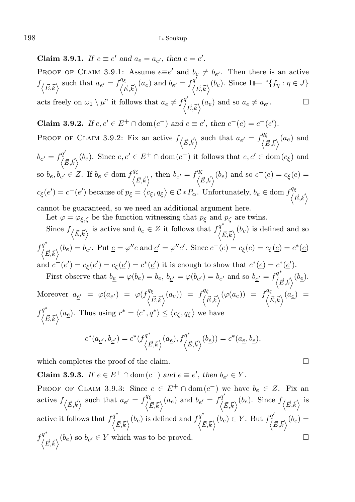Claim 3.9.1. If  $e \equiv e'$  and  $a_e = a_{e'}$ , then  $e = e'$ .

PROOF OF CLAIM 3.9.1: Assume  $e \equiv e'$  and  $b_e \neq b_{e'}$ . Then there is an active  $f_{\langle \vec{E}, \vec{k} \rangle}$  such that  $a_{e'} = f_{\langle \vec{E}, \vec{k} \rangle}^{q_{\xi}}(a_e)$  and  $b_{e'} = f_{\langle \vec{E}, \vec{k} \rangle}^{q'}(b_e)$ . Since  $1 \longmapsto {}^{q} \{f_{\eta} : \eta \in J\}$ acts freely on  $\omega_1 \setminus \mu$ " it follows that  $a_e \neq f_{(\vec{E}, \vec{k})}^{q'}(a_e)$  and so  $a_e \neq a_e$  $\Box$ 

**Claim 3.9.2.** *If*  $e, e' \in E^+ \cap \text{dom}(c^-)$  *and*  $e \equiv e'$ , *then*  $c^-(e) = c^-(e')$ *.* 

PROOF OF CLAIM 3.9.2: Fix an active  $f_{\langle \vec{E}, \vec{k} \rangle}$  such that  $a_{e'} = f_{\langle \vec{E}, \vec{k} \rangle}^{q_{\xi}}(a_e)$  and  $b_{e'} = f^{q'}_{(\vec{E}, \vec{k})}(b_e)$ . Since  $e, e' \in E^+ \cap \text{dom}(c^-)$  it follows that  $e, e' \in \text{dom}(c_{\xi})$  and so  $b_e, b_{e'} \in Z$ . If  $b_e \in \text{dom } f^{\mathcal{A}\xi}_{\langle \vec{E}, \vec{k} \rangle}$ , then  $b_{e'} = f^{\mathcal{A}\xi}_{\langle \vec{E}, \vec{k} \rangle}(b_e)$  and so  $c^-(e) = c_{\xi}(e) =$  $c_{\xi}(e') = c^-(e')$  because of  $p_{\xi} = \langle c_{\xi}, q_{\xi} \rangle \in C * P_{\alpha}$ . Unfortunately,  $b_e \in \text{dom } f_{\langle \vec{E}, \vec{k} \rangle}^{q_{\xi}}$ 

cannot be guaranteed, so we need an additional argument here.

Let  $\varphi = \varphi_{\xi,\zeta}$  be the function witnessing that  $p_{\xi}$  and  $p_{\zeta}$  are twins. Since  $f_{\langle \vec{E}, \vec{k} \rangle}$  is active and  $b_e \in Z$  it follows that  $f_{\langle \vec{E}, \vec{k} \rangle}^{q^*}(b_e)$  is defined and so  $f^{q^*}_{\langle \vec{E}, \vec{k} \rangle}(b_e) = b_{e'}$ . Put  $\underline{e} = \varphi''e$  and  $\underline{e}' = \varphi''e'$ . Since  $c^-(e) = c_{\xi}(e) = c_{\zeta}(\underline{e}) = c^*(\underline{e})$ and  $c^-(e') = c_\xi(e') = c_\xi(\underline{e}') = c^*(\underline{e}')$  it is enough to show that  $c^*(\underline{e}) = c^*(\underline{e}')$ .

First observe that  $b_{\underline{e}} = \varphi(b_e) = b_e$ ,  $b_{\underline{e'}} = \varphi(b_{e'}) = b_{e'}$  and so  $b_{\underline{e'}} = f_{\langle \vec{E}, \vec{k} \rangle}^{q^*}(b_{\underline{e}})$ . Moreover  $a_{\underline{e'}} = \varphi(a_{e'}) = \varphi(f_{\langle \vec{E}, \vec{k} \rangle}^{q_{\xi}}(a_e)) = f_{\langle \vec{E}, \vec{k} \rangle}^{q_{\zeta}}(\varphi(a_e)) = f_{\langle \vec{E}, \vec{k} \rangle}^{q_{\zeta}}(a_{\underline{e}}) =$  $f_{\langle \vec{E}, \vec{k} \rangle}^{q^*}(a_{\underline{e}})$ . Thus using  $r^* = \langle c^*, q^* \rangle \le \langle c_{\zeta}, q_{\zeta} \rangle$  we have

$$
c^*(a_{\underline{e}'},b_{\underline{e}'})=c^*(f_{\left\langle \vec{E},\vec{k}\right\rangle}^{q^*}(a_{\underline{e}}),f_{\left\langle \vec{E},\vec{k}\right\rangle}^{q^*}(b_{\underline{e}}))=c^*(a_{\underline{e}},b_{\underline{e}}),
$$

which completes the proof of the claim.

**Claim 3.9.3.** If  $e \in E^+ \cap \text{dom}(c^-)$  and  $e \equiv e'$ , then  $b_{e'} \in Y$ .

PROOF OF CLAIM 3.9.3: Since  $e \in E^+ \cap \text{dom}(c^-)$  we have  $b_e \in Z$ . Fix an active  $f_{\langle \vec{E}, \vec{k} \rangle}$  such that  $a_{e'} = f_{\langle \vec{E}, \vec{k} \rangle}^{q_{\xi}}(a_e)$  and  $b_{e'} = f_{\langle \vec{E}, \vec{k} \rangle}^{q'}(b_e)$ . Since  $f_{\langle \vec{E}, \vec{k} \rangle}$  is active it follows that  $f_{\langle \vec{E}, \vec{k} \rangle}^{q^*}(b_e)$  is defined and  $f_{\langle \vec{E}, \vec{k} \rangle}^{q^*}(b_e) \in Y$ . But  $f_{\langle \vec{E}, \vec{k} \rangle}^{q'}(b_e) =$  $f^{\mathcal{q}^*}_{(\vec{E}, \vec{k})}(b_e)$  so  $b_{e'} \in Y$  which was to be proved.

$$
\Box
$$